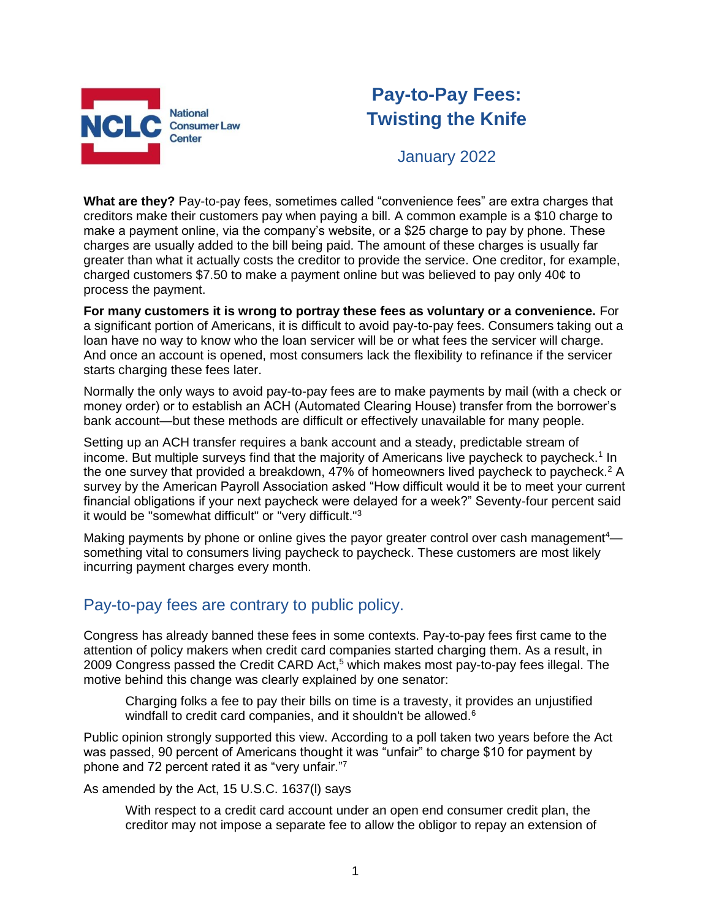

## **Pay-to-Pay Fees: Twisting the Knife**

January 2022

**What are they?** Pay-to-pay fees, sometimes called "convenience fees" are extra charges that creditors make their customers pay when paying a bill. A common example is a \$10 charge to make a payment online, via the company's website, or a \$25 charge to pay by phone. These charges are usually added to the bill being paid. The amount of these charges is usually far greater than what it actually costs the creditor to provide the service. One creditor, for example, charged customers \$7.50 to make a payment online but was believed to pay only 40¢ to process the payment.

**For many customers it is wrong to portray these fees as voluntary or a convenience.** For a significant portion of Americans, it is difficult to avoid pay-to-pay fees. Consumers taking out a loan have no way to know who the loan servicer will be or what fees the servicer will charge. And once an account is opened, most consumers lack the flexibility to refinance if the servicer starts charging these fees later.

Normally the only ways to avoid pay-to-pay fees are to make payments by mail (with a check or money order) or to establish an ACH (Automated Clearing House) transfer from the borrower's bank account—but these methods are difficult or effectively unavailable for many people.

Setting up an ACH transfer requires a bank account and a steady, predictable stream of income. But multiple surveys find that the majority of Americans live paycheck to paycheck.<sup>1</sup> In the one survey that provided a breakdown, 47% of homeowners lived paycheck to paycheck.<sup>2</sup> A survey by the American Payroll Association asked "How difficult would it be to meet your current financial obligations if your next paycheck were delayed for a week?" Seventy-four percent said it would be "somewhat difficult" or "very difficult."<sup>3</sup>

Making payments by phone or online gives the payor greater control over cash management<sup>4</sup> something vital to consumers living paycheck to paycheck. These customers are most likely incurring payment charges every month.

### Pay-to-pay fees are contrary to public policy.

Congress has already banned these fees in some contexts. Pay-to-pay fees first came to the attention of policy makers when credit card companies started charging them. As a result, in 2009 Congress passed the Credit CARD Act,<sup>5</sup> which makes most pay-to-pay fees illegal. The motive behind this change was clearly explained by one senator:

Charging folks a fee to pay their bills on time is a travesty, it provides an unjustified windfall to credit card companies, and it shouldn't be allowed.<sup>6</sup>

Public opinion strongly supported this view. According to a poll taken two years before the Act was passed, 90 percent of Americans thought it was "unfair" to charge \$10 for payment by phone and 72 percent rated it as "very unfair."<sup>7</sup>

As amended by the Act, 15 U.S.C. 1637(l) says

With respect to a credit card account under an open end consumer credit plan, the creditor may not impose a separate fee to allow the obligor to repay an extension of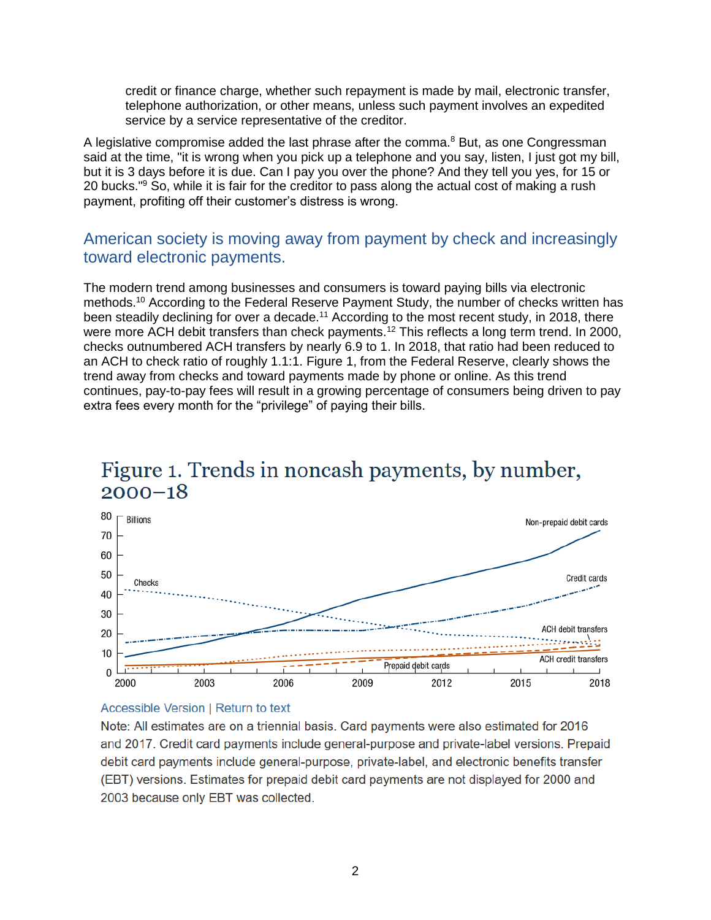credit or finance charge, whether such repayment is made by mail, electronic transfer, telephone authorization, or other means, unless such payment involves an expedited service by a service representative of the creditor.

A legislative compromise added the last phrase after the comma.<sup>8</sup> But, as one Congressman said at the time, "it is wrong when you pick up a telephone and you say, listen, I just got my bill, but it is 3 days before it is due. Can I pay you over the phone? And they tell you yes, for 15 or 20 bucks."<sup>9</sup> So, while it is fair for the creditor to pass along the actual cost of making a rush payment, profiting off their customer's distress is wrong.

### American society is moving away from payment by check and increasingly toward electronic payments.

The modern trend among businesses and consumers is toward paying bills via electronic methods.<sup>10</sup> According to the Federal Reserve Payment Study, the number of checks written has been steadily declining for over a decade.<sup>11</sup> According to the most recent study, in 2018, there were more ACH debit transfers than check payments.<sup>12</sup> This reflects a long term trend. In 2000, checks outnumbered ACH transfers by nearly 6.9 to 1. In 2018, that ratio had been reduced to an ACH to check ratio of roughly 1.1:1. Figure 1, from the Federal Reserve, clearly shows the trend away from checks and toward payments made by phone or online. As this trend continues, pay-to-pay fees will result in a growing percentage of consumers being driven to pay extra fees every month for the "privilege" of paying their bills.

# Figure 1. Trends in noncash payments, by number,  $2000 - 18$



#### **Accessible Version | Return to text**

Note: All estimates are on a triennial basis. Card payments were also estimated for 2016 and 2017. Credit card payments include general-purpose and private-label versions. Prepaid debit card payments include general-purpose, private-label, and electronic benefits transfer (EBT) versions. Estimates for prepaid debit card payments are not displayed for 2000 and 2003 because only EBT was collected.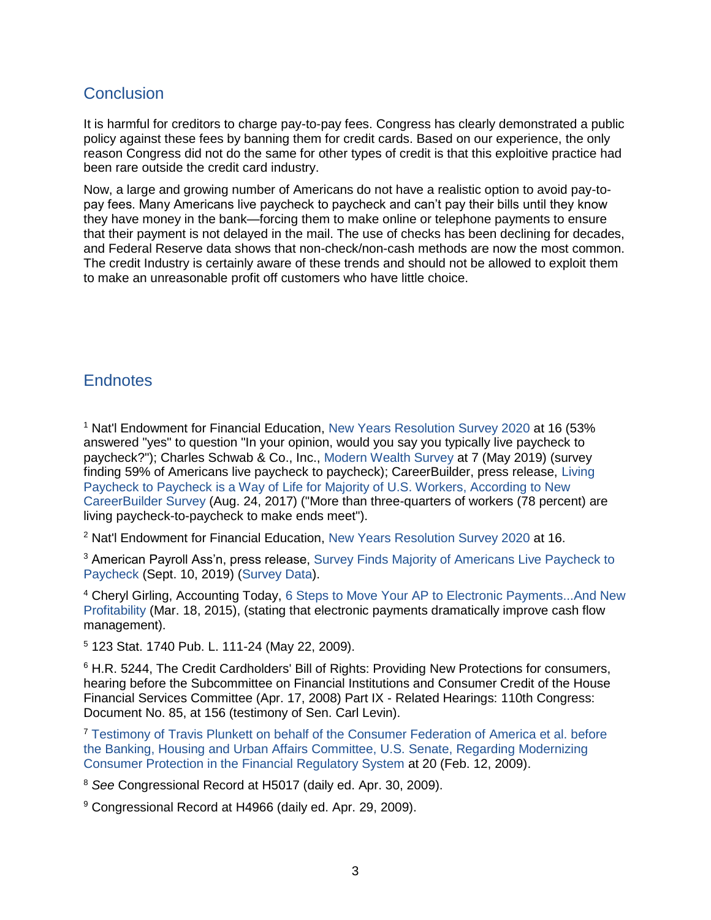### **Conclusion**

It is harmful for creditors to charge pay-to-pay fees. Congress has clearly demonstrated a public policy against these fees by banning them for credit cards. Based on our experience, the only reason Congress did not do the same for other types of credit is that this exploitive practice had been rare outside the credit card industry.

Now, a large and growing number of Americans do not have a realistic option to avoid pay-topay fees. Many Americans live paycheck to paycheck and can't pay their bills until they know they have money in the bank—forcing them to make online or telephone payments to ensure that their payment is not delayed in the mail. The use of checks has been declining for decades, and Federal Reserve data shows that non-check/non-cash methods are now the most common. The credit Industry is certainly aware of these trends and should not be allowed to exploit them to make an unreasonable profit off customers who have little choice.

### **Endnotes**

<sup>1</sup> Nat'l Endowment for Financial Education, [New Years Resolution Survey 2020](https://www.nefe.org/research/research-projects/consumer-poll/2020/new-year-resolutions-2020.aspx) at 16 (53% answered "yes" to question "In your opinion, would you say you typically live paycheck to paycheck?"); Charles Schwab & Co., Inc., [Modern Wealth Survey](https://content.schwab.com/web/retail/public/about-schwab/Charles-Schwab-2019-Modern-Wealth-Survey-findings-0519-9JBP.pdf) at 7 (May 2019) (survey finding 59% of Americans live paycheck to paycheck); CareerBuilder, press release, [Living](http://press.careerbuilder.com/2017-08-24-Living-Paycheck-to-Paycheck-is-a-Way-of-Life-for-Majority-of-U-S-Workers-According-to-New-CareerBuilder-Survey)  [Paycheck to Paycheck is a Way of Life for Majority of U.S. Workers, According to New](http://press.careerbuilder.com/2017-08-24-Living-Paycheck-to-Paycheck-is-a-Way-of-Life-for-Majority-of-U-S-Workers-According-to-New-CareerBuilder-Survey)  [CareerBuilder Survey](http://press.careerbuilder.com/2017-08-24-Living-Paycheck-to-Paycheck-is-a-Way-of-Life-for-Majority-of-U-S-Workers-According-to-New-CareerBuilder-Survey) (Aug. 24, 2017) ("More than three-quarters of workers (78 percent) are living paycheck-to-paycheck to make ends meet").

<sup>2</sup> Nat'l Endowment for Financial Education, [New Years Resolution Survey 2020](https://www.nefe.org/research/research-projects/consumer-poll/2020/new-year-resolutions-2020.aspx) at 16.

<sup>3</sup> American Payroll Ass'n, press release, Survey Finds Majority of Americans Live Paycheck to [Paycheck](https://www.prnewswire.com/news-releases/survey-finds-majority-of-americans-live-paycheck-to-paycheck-300915266.html) (Sept. 10, 2019) [\(Survey](https://www.nationalpayrollweek.com/wp-content/uploads/2019GettingPaidInAmericaSurveyResults.pdf) Data).

<sup>4</sup> Cheryl Girling, Accounting Today, [6 Steps to Move Your AP to Electronic Payments...And New](https://www.accountingtoday.com/news/6-steps-to-move-your-ap-to-electronic-paymentsand-new-profitability)  [Profitability](https://www.accountingtoday.com/news/6-steps-to-move-your-ap-to-electronic-paymentsand-new-profitability) (Mar. 18, 2015), (stating that electronic payments dramatically improve cash flow management).

<sup>5</sup> 123 Stat. 1740 Pub. L. 111-24 (May 22, 2009).

<sup>6</sup> H.R. 5244, The Credit Cardholders' Bill of Rights: Providing New Protections for consumers, hearing before the Subcommittee on Financial Institutions and Consumer Credit of the House Financial Services Committee (Apr. 17, 2008) Part IX - Related Hearings: 110th Congress: Document No. 85, at 156 (testimony of Sen. Carl Levin).

<sup>7</sup> [Testimony of Travis Plunkett on behalf of the Consumer Federation of](https://advocacy.consumerreports.org/wp-content/uploads/2013/04/Travis-testimony-credit-card.pdf) America et al. before [the Banking, Housing and Urban Affairs Committee, U.S. Senate, Regarding Modernizing](https://advocacy.consumerreports.org/wp-content/uploads/2013/04/Travis-testimony-credit-card.pdf)  [Consumer Protection in the Financial Regulatory System](https://advocacy.consumerreports.org/wp-content/uploads/2013/04/Travis-testimony-credit-card.pdf) at 20 (Feb. 12, 2009).

<sup>8</sup> *See* Congressional Record at H5017 (daily ed. Apr. 30, 2009).

<sup>9</sup> Congressional Record at H4966 (daily ed. Apr. 29, 2009).